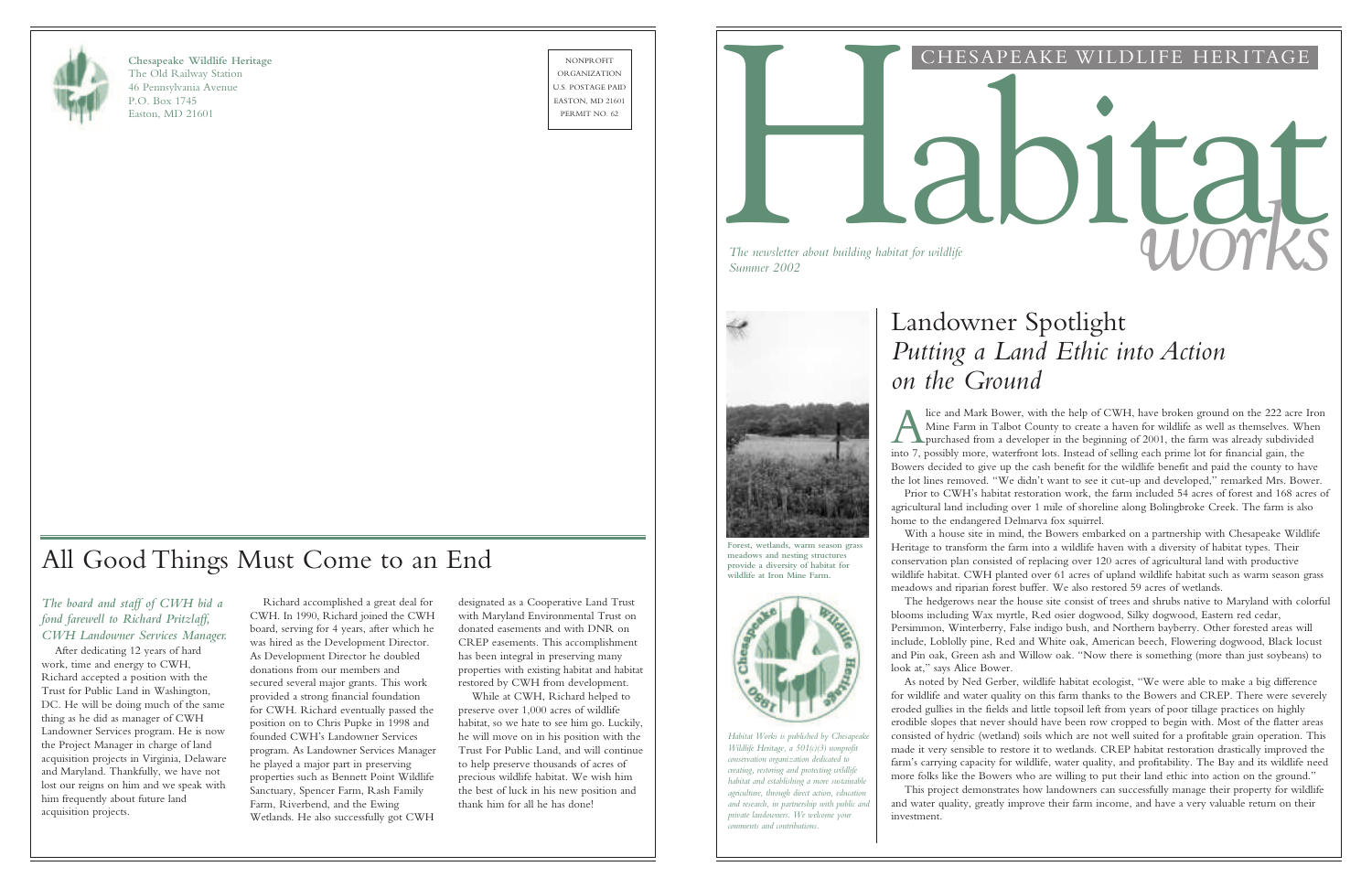

**Chesapeake Wildlife Heritage** The Old Railway Station 46 Pennsylvania Avenue P.O. Box 1745 Easton, MD 21601

NONPROFIT ORGANIZATION U.S. POSTAGE PAID EASTON, MD 21601

#### CHESAPEAKE WILDLIFE HERITAGE

# NONEGRIT NO. OF THE SAPEAKE WILDLIFE HERITAGE *The newsletter about building habitat for wildlife*<br>Summer 2002



# Landowner Spotlight *Putting a Land Ethic into Action on the Ground*

 $\overline{A}$ lice and Mark Bower, with the help of CWH, have broken ground on the 222 acre Iron Mine Farm in Talbot County to create a haven for wildlife as well as themselves. When purchased from a developer in the beginning of 2001, the farm was already subdivided into 7, possibly more, waterfront lots. Instead of selling each prime lot for financial gain, the Bowers decided to give up the cash benefit for the wildlife benefit and paid the county to have the lot lines removed. "We didn't want to see it cut-up and developed," remarked Mrs. Bower. Prior to CWH's habitat restoration work, the farm included 54 acres of forest and 168 acres of agricultural land including over 1 mile of shoreline along Bolingbroke Creek. The farm is also home to the endangered Delmarva fox squirrel.

With a house site in mind, the Bowers embarked on a partnership with Chesapeake Wildlife Heritage to transform the farm into a wildlife haven with a diversity of habitat types. Their conservation plan consisted of replacing over 120 acres of agricultural land with productive wildlife habitat. CWH planted over 61 acres of upland wildlife habitat such as warm season grass meadows and riparian forest buffer. We also restored 59 acres of wetlands.

The hedgerows near the house site consist of trees and shrubs native to Maryland with colorful blooms including Wax myrtle, Red osier dogwood, Silky dogwood, Eastern red cedar,

Persimmon, Winterberry, False indigo bush, and Northern bayberry. Other forested areas will include, Loblolly pine, Red and White oak, American beech, Flowering dogwood, Black locust and Pin oak, Green ash and Willow oak. "Now there is something (more than just soybeans) to

look at," says Alice Bower.

As noted by Ned Gerber, wildlife habitat ecologist, "We were able to make a big difference for wildlife and water quality on this farm thanks to the Bowers and CREP. There were severely eroded gullies in the fields and little topsoil left from years of poor tillage practices on highly erodible slopes that never should have been row cropped to begin with. Most of the flatter areas consisted of hydric (wetland) soils which are not well suited for a profitable grain operation. This made it very sensible to restore it to wetlands. CREP habitat restoration drastically improved the farm's carrying capacity for wildlife, water quality, and profitability. The Bay and its wildlife need more folks like the Bowers who are willing to put their land ethic into action on the ground." This project demonstrates how landowners can successfully manage their property for wildlife and water quality, greatly improve their farm income, and have a very valuable return on their

investment.

*Habitat Works is published by Chesapeake Wildlife Heritage, a 501(c)(3) nonprofit conservation organization dedicated to creating, restoring and protecting wildlife habitat and establishing a more sustainable agriculture, through direct action, education and research, in partnership with public and private landowners. We welcome your comments and contributions.*

**Forest, wetlands, warm season grass meadows and nesting structures provide a diversity of habitat for wildlife at Iron Mine Farm.**



#### *The board and staff of CWH bid a fond farewell to Richard Pritzlaff, CWH Landowner Services Manager.*

After dedicating 12 years of hard work, time and energy to CWH, Richard accepted a position with the Trust for Public Land in Washington, DC. He will be doing much of the same thing as he did as manager of CWH Landowner Services program. He is now the Project Manager in charge of land acquisition projects in Virginia, Delaware and Maryland. Thankfully, we have not lost our reigns on him and we speak with him frequently about future land acquisition projects.

Richard accomplished a great deal for CWH. In 1990, Richard joined the CWH board, serving for 4 years, after which he was hired as the Development Director. As Development Director he doubled donations from our members and secured several major grants. This work provided a strong financial foundation for CWH. Richard eventually passed the position on to Chris Pupke in 1998 and founded CWH's Landowner Services program. As Landowner Services Manager he played a major part in preserving properties such as Bennett Point Wildlife Sanctuary, Spencer Farm, Rash Family Farm, Riverbend, and the Ewing Wetlands. He also successfully got CWH

designated as a Cooperative Land Trust with Maryland Environmental Trust on donated easements and with DNR on CREP easements. This accomplishment has been integral in preserving many properties with existing habitat and habitat restored by CWH from development.

While at CWH, Richard helped to preserve over 1,000 acres of wildlife habitat, so we hate to see him go. Luckily, he will move on in his position with the Trust For Public Land, and will continue to help preserve thousands of acres of precious wildlife habitat. We wish him the best of luck in his new position and thank him for all he has done!

# All Good Things Must Come to an End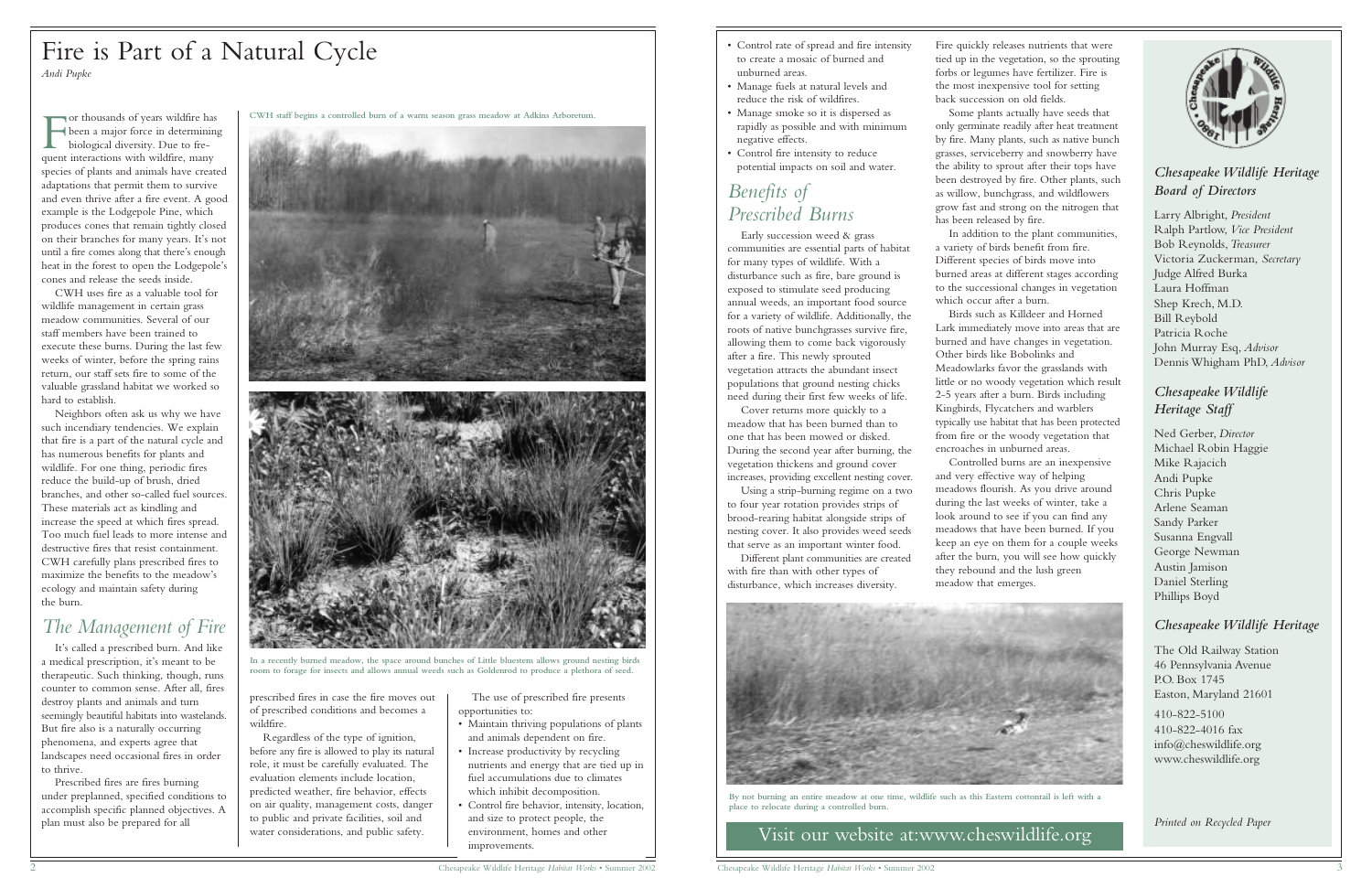Visit our website at:www.cheswildlife.org





#### *Chesapeake Wildlife Heritage Board of Directors*

Larry Albright, *President* Ralph Partlow, *Vice President* Bob Reynolds,*Treasurer* Victoria Zuckerman, *Secretary* Judge Alfred Burka Laura Hoffman Shep Krech, M.D. Bill Reybold Patricia Roche John Murray Esq, *Advisor* Dennis Whigham PhD, *Advisor*

#### *Chesapeake Wildlife Heritage Staff*

Ned Gerber, *Director* Michael Robin Haggie Mike Rajacich Andi Pupke Chris Pupke Arlene Seaman Sandy Parker Susanna Engvall George Newman Austin Jamison Daniel Sterling Phillips Boyd

#### *Chesapeake Wildlife Heritage*

F or thousands of years wildfire has been a major force in determining biological diversity. Due to frequent interactions with wildfire, many species of plants and animals have created adaptations that permit them to survive and even thrive after a fire event. A good example is the Lodgepole Pine, which produces cones that remain tightly closed on their branches for many years. It's not until a fire comes along that there's enough heat in the forest to open the Lodgepole's cones and release the seeds inside.

> The Old Railway Station 46 Pennsylvania Avenue P.O. Box 1745 Easton, Maryland 21601

410-822-5100 410-822-4016 fax info@cheswildlife.org www.cheswildlife.org

*Printed on Recycled Paper*

CWH uses fire as a valuable tool for wildlife management in certain grass meadow communities. Several of our staff members have been trained to execute these burns. During the last few weeks of winter, before the spring rains return, our staff sets fire to some of the valuable grassland habitat we worked so hard to establish.

Neighbors often ask us why we have such incendiary tendencies. We explain that fire is a part of the natural cycle and has numerous benefits for plants and wildlife. For one thing, periodic fires reduce the build-up of brush, dried branches, and other so-called fuel sources. These materials act as kindling and increase the speed at which fires spread. Too much fuel leads to more intense and destructive fires that resist containment. CWH carefully plans prescribed fires to maximize the benefits to the meadow's ecology and maintain safety during the burn.

### *The Management of Fire*

It's called a prescribed burn. And like a medical prescription, it's meant to be therapeutic. Such thinking, though, runs counter to common sense. After all, fires destroy plants and animals and turn seemingly beautiful habitats into wastelands. But fire also is a naturally occurring phenomena, and experts agree that landscapes need occasional fires in order to thrive.



By not burning an entire meadow at one time, wildlife such as this Eastern cottontail is left with **place to relocate during a controlled burn.**

Prescribed fires are fires burning under preplanned, specified conditions to accomplish specific planned objectives. A plan must also be prepared for all

#### Fire is Part of a Natural Cycle *Andi Pupke*

The use of prescribed fire presents opportunities to:

- Maintain thriving populations of plants and animals dependent on fire.
- Increase productivity by recycling nutrients and energy that are tied up in fuel accumulations due to climates which inhibit decomposition.
- Control fire behavior, intensity, location, and size to protect people, the environment, homes and other improvements.

**CWH staff begins a controlled burn of a warm season grass meadow at Adkins Arboretum.**





**In a recently burned meadow, the space around bunches of Little bluestem allows ground nesting birds room to forage for insects and allows annual weeds such as Goldenrod to produce a plethora of seed.**

Fire quickly releases nutrients that were tied up in the vegetation, so the sprouting forbs or legumes have fertilizer. Fire is the most inexpensive tool for setting back succession on old fields.

Some plants actually have seeds that only germinate readily after heat treatment by fire. Many plants, such as native bunch grasses, serviceberry and snowberry have the ability to sprout after their tops have been destroyed by fire. Other plants, such as willow, bunchgrass, and wildflowers grow fast and strong on the nitrogen that has been released by fire.

In addition to the plant communities, a variety of birds benefit from fire. Different species of birds move into burned areas at different stages according to the successional changes in vegetation which occur after a burn.

Birds such as Killdeer and Horned Lark immediately move into areas that are burned and have changes in vegetation. Other birds like Bobolinks and Meadowlarks favor the grasslands with little or no woody vegetation which result 2-5 years after a burn. Birds including Kingbirds, Flycatchers and warblers typically use habitat that has been protected from fire or the woody vegetation that encroaches in unburned areas.

Controlled burns are an inexpensive and very effective way of helping meadows flourish. As you drive around during the last weeks of winter, take a look around to see if you can find any meadows that have been burned. If you keep an eye on them for a couple weeks after the burn, you will see how quickly they rebound and the lush green meadow that emerges.

prescribed fires in case the fire moves out of prescribed conditions and becomes a wildfire.

Regardless of the type of ignition, before any fire is allowed to play its natural role, it must be carefully evaluated. The evaluation elements include location, predicted weather, fire behavior, effects on air quality, management costs, danger to public and private facilities, soil and water considerations, and public safety.

- Control rate of spread and fire intensity to create a mosaic of burned and unburned areas.
- Manage fuels at natural levels and reduce the risk of wildfires.
- Manage smoke so it is dispersed as rapidly as possible and with minimum negative effects.
- Control fire intensity to reduce potential impacts on soil and water.

#### *Benefits of Prescribed Burns*

Early succession weed & grass communities are essential parts of habitat for many types of wildlife. With a disturbance such as fire, bare ground is exposed to stimulate seed producing annual weeds, an important food source for a variety of wildlife. Additionally, the roots of native bunchgrasses survive fire, allowing them to come back vigorously after a fire. This newly sprouted vegetation attracts the abundant insect populations that ground nesting chicks need during their first few weeks of life.

Cover returns more quickly to a meadow that has been burned than to one that has been mowed or disked. During the second year after burning, the vegetation thickens and ground cover increases, providing excellent nesting cover.

Using a strip-burning regime on a two to four year rotation provides strips of brood-rearing habitat alongside strips of nesting cover. It also provides weed seeds that serve as an important winter food.

Different plant communities are created with fire than with other types of disturbance, which increases diversity.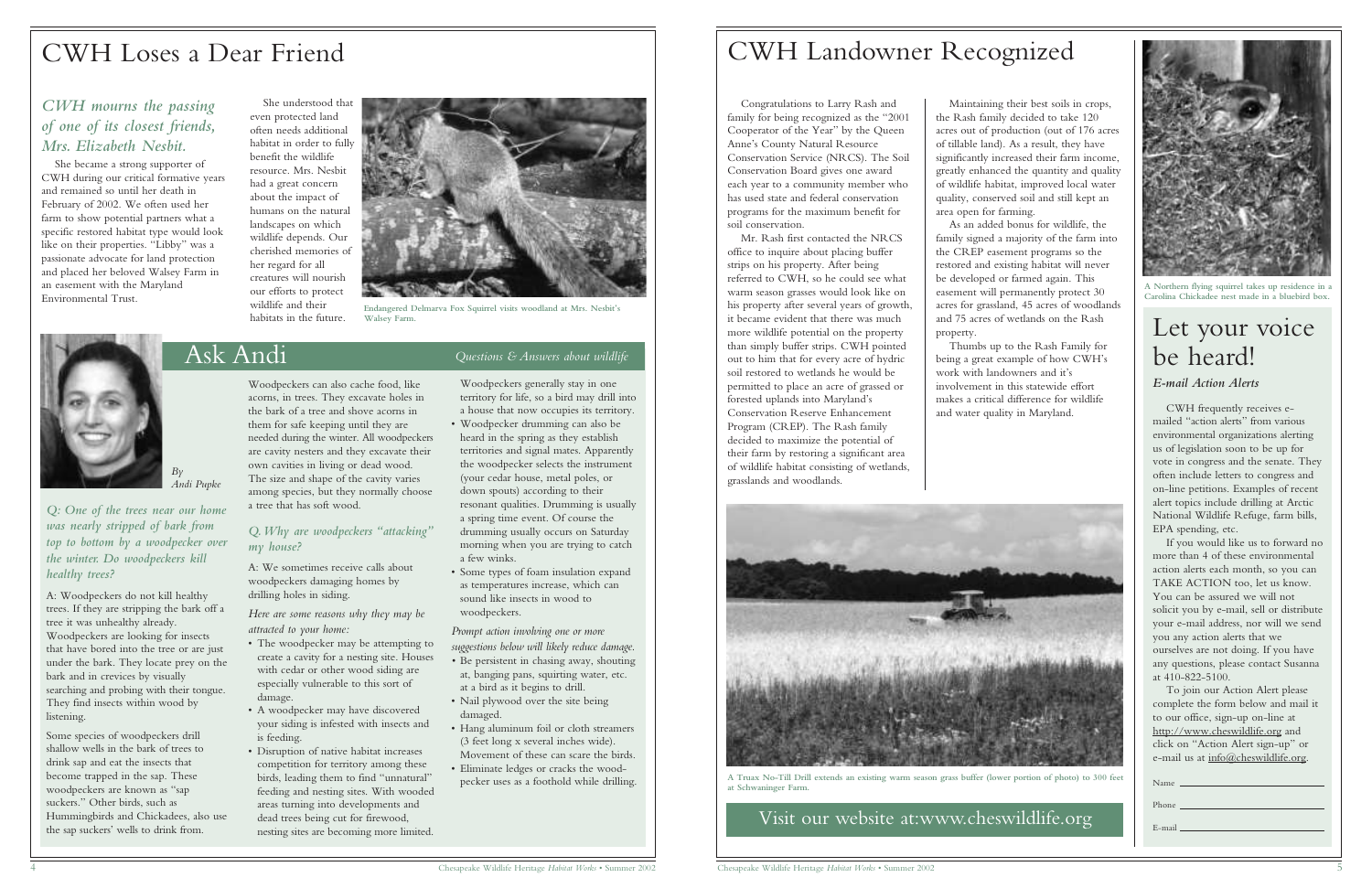

**A Northern flying squirrel takes up residence in a Carolina Chickadee nest made in a bluebird box.**

## Ask Andi *Questions & Answers about wildlife*



*Q: One of the trees near our home was nearly stripped of bark from top to bottom by a woodpecker over the winter. Do woodpeckers kill*

*healthy trees?*

A: Woodpeckers do not kill healthy trees. If they are stripping the bark off a

tree it was unhealthy already. Woodpeckers are looking for insects that have bored into the tree or are just under the bark. They locate prey on the

bark and in crevices by visually

searching and probing with their tongue. They find insects within wood by

listening.

Some species of woodpeckers drill shallow wells in the bark of trees to drink sap and eat the insects that become trapped in the sap. These woodpeckers are known as "sap suckers." Other birds, such as

Hummingbirds and Chickadees, also use the sap suckers' wells to drink from.

Woodpeckers can also cache food, like acorns, in trees. They excavate holes in the bark of a tree and shove acorns in them for safe keeping until they are needed during the winter. All woodpeckers are cavity nesters and they excavate their own cavities in living or dead wood. The size and shape of the cavity varies among species, but they normally choose a tree that has soft wood.

#### *Q.Why are woodpeckers "attacking" my house?*

A: We sometimes receive calls about woodpeckers damaging homes by drilling holes in siding.

*Here are some reasons why they may be attracted to your home:*

- The woodpecker may be attempting to create a cavity for a nesting site. Houses with cedar or other wood siding are especially vulnerable to this sort of damage.
- A woodpecker may have discovered your siding is infested with insects and is feeding.
- Disruption of native habitat increases competition for territory among these birds, leading them to find "unnatural" feeding and nesting sites. With wooded areas turning into developments and dead trees being cut for firewood, nesting sites are becoming more limited.

Woodpeckers generally stay in one territory for life, so a bird may drill into a house that now occupies its territory.

- Woodpecker drumming can also be heard in the spring as they establish territories and signal mates. Apparently the woodpecker selects the instrument (your cedar house, metal poles, or down spouts) according to their resonant qualities. Drumming is usually a spring time event. Of course the drumming usually occurs on Saturday morning when you are trying to catch a few winks.
- Some types of foam insulation expand as temperatures increase, which can sound like insects in wood to woodpeckers.

*Prompt action involving one or more suggestions below will likely reduce damage.*

- *•* Be persistent in chasing away, shouting at, banging pans, squirting water, etc. at a bird as it begins to drill.
- Nail plywood over the site being damaged.
- Hang aluminum foil or cloth streamers (3 feet long x several inches wide). Movement of these can scare the birds.
- Eliminate ledges or cracks the woodpecker uses as a foothold while drilling.

Visit our website at:www.cheswildlife.org

Congratulations to Larry Rash and family for being recognized as the "2001 Cooperator of the Year" by the Queen Anne's County Natural Resource Conservation Service (NRCS). The Soil Conservation Board gives one award each year to a community member who has used state and federal conservation programs for the maximum benefit for soil conservation.

> To join our Action Alert please complete the form below and mail it to our office, sign-up on-line at http://www.cheswildlife.org and click on "Action Alert sign-up" or e-mail us at info@cheswildlife.org.

Mr. Rash first contacted the NRCS office to inquire about placing buffer strips on his property. After being referred to CWH, so he could see what warm season grasses would look like on his property after several years of growth, it became evident that there was much more wildlife potential on the property than simply buffer strips. CWH pointed out to him that for every acre of hydric soil restored to wetlands he would be permitted to place an acre of grassed or forested uplands into Maryland's Conservation Reserve Enhancement Program (CREP). The Rash family decided to maximize the potential of their farm by restoring a significant area of wildlife habitat consisting of wetlands, grasslands and woodlands.

Maintaining their best soils in crops, the Rash family decided to take 120 acres out of production (out of 176 acres of tillable land). As a result, they have significantly increased their farm income, greatly enhanced the quantity and quality of wildlife habitat, improved local water quality, conserved soil and still kept an area open for farming.

As an added bonus for wildlife, the family signed a majority of the farm into the CREP easement programs so the restored and existing habitat will never be developed or farmed again. This easement will permanently protect 30 acres for grassland, 45 acres of woodlands and 75 acres of wetlands on the Rash

property.

Thumbs up to the Rash Family for being a great example of how CWH's work with landowners and it's involvement in this statewide effort makes a critical difference for wildlife and water quality in Maryland.



# CWH Landowner Recognized

#### *CWH mourns the passing of one of its closest friends, Mrs. Elizabeth Nesbit.*

She became a strong supporter of CWH during our critical formative years and remained so until her death in February of 2002. We often used her farm to show potential partners what a specific restored habitat type would look like on their properties. "Libby" was a passionate advocate for land protection and placed her beloved Walsey Farm in an easement with the Maryland Environmental Trust.

She understood that even protected land often needs additional habitat in order to fully benefit the wildlife resource. Mrs. Nesbit had a great concern about the impact of humans on the natural landscapes on which wildlife depends. Our cherished memories of her regard for all creatures will nourish our efforts to protect wildlife and their habitats in the future.

# CWH Loses a Dear Friend

# Let your voice be heard!

#### *E-mail Action Alerts*

CWH frequently receives emailed "action alerts" from various environmental organizations alerting us of legislation soon to be up for vote in congress and the senate. They often include letters to congress and on-line petitions. Examples of recent alert topics include drilling at Arctic National Wildlife Refuge, farm bills, EPA spending, etc.

If you would like us to forward no more than 4 of these environmental action alerts each month, so you can TAKE ACTION too, let us know. You can be assured we will not solicit you by e-mail, sell or distribute your e-mail address, nor will we send you any action alerts that we ourselves are not doing. If you have any questions, please contact Susanna at 410-822-5100.

Name

Phone

E-mail

**A Truax No-Till Drill extends an existing warm season grass buffer (lower portion of photo) to 300 feet at Schwaninger Farm.**



**Endangered Delmarva Fox Squirrel visits woodland at Mrs. Nesbit's Walsey Farm.**